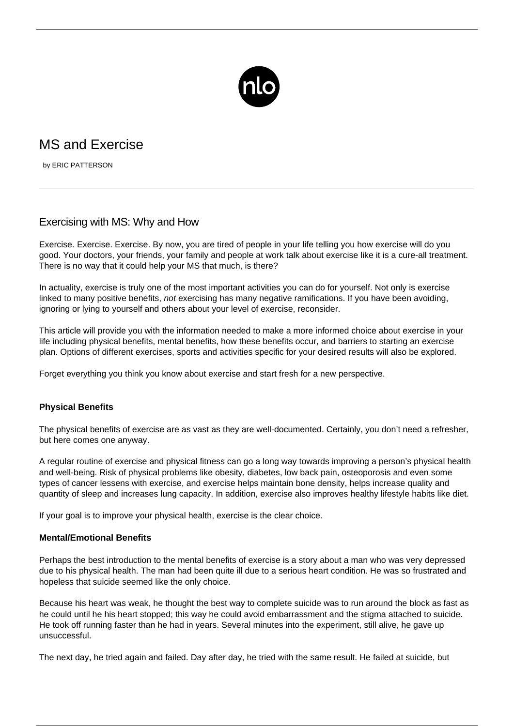

# MS and Exercise

by ERIC PATTERSON

## Exercising with MS: Why and How

Exercise. Exercise. Exercise. By now, you are tired of people in your life telling you how exercise will do you good. Your doctors, your friends, your family and people at work talk about exercise like it is a cure-all treatment. There is no way that it could help your MS that much, is there?

In actuality, exercise is truly one of the most important activities you can do for yourself. Not only is exercise linked to many positive benefits, not exercising has many negative ramifications. If you have been avoiding, ignoring or lying to yourself and others about your level of exercise, reconsider.

This article will provide you with the information needed to make a more informed choice about exercise in your life including physical benefits, mental benefits, how these benefits occur, and barriers to starting an exercise plan. Options of different exercises, sports and activities specific for your desired results will also be explored.

Forget everything you think you know about exercise and start fresh for a new perspective.

## **Physical Benefits**

The physical benefits of exercise are as vast as they are well-documented. Certainly, you don't need a refresher, but here comes one anyway.

A regular routine of exercise and physical fitness can go a long way towards improving a person's physical health and well-being. Risk of physical problems like obesity, diabetes, low back pain, osteoporosis and even some types of cancer lessens with exercise, and exercise helps maintain bone density, helps increase quality and quantity of sleep and increases lung capacity. In addition, exercise also improves healthy lifestyle habits like diet.

If your goal is to improve your physical health, exercise is the clear choice.

## **Mental/Emotional Benefits**

Perhaps the best introduction to the mental benefits of exercise is a story about a man who was very depressed due to his physical health. The man had been quite ill due to a serious heart condition. He was so frustrated and hopeless that [suicide](/ms-safety-planning/) seemed like the only choice.

Because his heart was weak, he thought the best way to complete suicide was to run around the block as fast as he could until he his heart stopped; this way he could avoid embarrassment and the stigma attached to suicide. He took off running faster than he had in years. Several minutes into the experiment, still alive, he gave up unsuccessful.

The next day, he tried again and failed. Day after day, he tried with the same result. He failed at suicide, but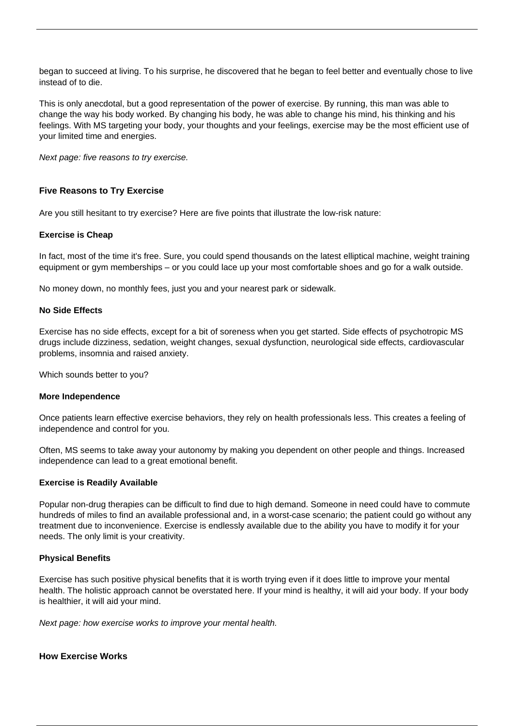began to succeed at living. To his surprise, he discovered that he began to feel better and eventually chose to live instead of to die.

This is only anecdotal, but a good representation of the power of exercise. By running, this man was able to change the way his body worked. By changing his body, he was able to change his mind, his thinking and his feelings. With MS targeting your body, your thoughts and your feelings, exercise may be the most efficient use of your limited time and energies.

Next page: five reasons to try exercise.

## **Five Reasons to Try Exercise**

Are you still hesitant to try exercise? Here are five points that illustrate the low-risk nature:

## **Exercise is Cheap**

In fact, most of the time it's free. Sure, you could spend thousands on the latest elliptical machine, weight training equipment or gym memberships – or you could lace up your most comfortable shoes and go for a walk outside.

No money down, no monthly fees, just you and your nearest park or sidewalk.

### **No Side Effects**

Exercise has no side effects, except for a bit of soreness when you get started. Side effects of psychotropic [MS](/ms-drug-trials/) [drugs](/ms-drug-trials/) include dizziness, sedation, weight changes, sexual dysfunction, neurological side effects, cardiovascular problems, insomnia and raised anxiety.

Which sounds better to you?

#### **More Independence**

Once patients learn effective exercise behaviors, they rely on health professionals less. This creates a feeling of independence and control for you.

Often, MS seems to take away your autonomy by making you dependent on other people and things. Increased independence can lead to a great emotional benefit.

#### **Exercise is Readily Available**

Popular non-drug therapies can be difficult to find due to high demand. Someone in need could have to commute hundreds of miles to find an available professional and, in a worst-case scenario; the patient could go without any treatment due to inconvenience. Exercise is endlessly available due to the ability you have to modify it for your needs. The only limit is your creativity.

## **Physical Benefits**

Exercise has such positive physical benefits that it is worth trying even if it does little to improve your mental health. The holistic approach cannot be overstated here. If your mind is healthy, it will aid your body. If your body is healthier, it will aid your mind.

Next page: how exercise works to improve your mental health.

#### **How Exercise Works**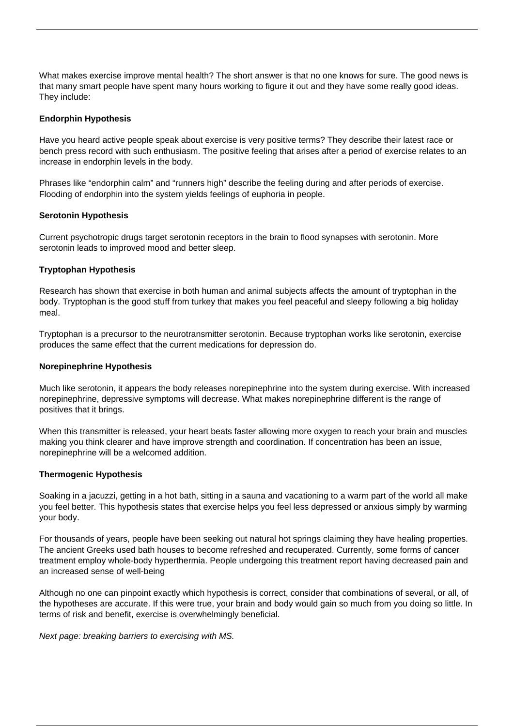What makes exercise improve mental health? The short answer is that no one knows for sure. The good news is that many smart people have spent many hours working to figure it out and they have some really good ideas. They include:

### **Endorphin Hypothesis**

Have you heard active people speak about exercise is very positive terms? They describe their latest race or bench press record with such enthusiasm. The positive feeling that arises after a period of exercise relates to an increase in endorphin levels in the body.

Phrases like "endorphin calm" and "runners high" describe the feeling during and after periods of exercise. Flooding of endorphin into the system yields feelings of euphoria in people.

#### **Serotonin Hypothesis**

Current psychotropic drugs target serotonin receptors in the brain to flood synapses with serotonin. More serotonin leads to improved mood and better sleep.

#### **Tryptophan Hypothesis**

Research has shown that exercise in both human and animal subjects affects the amount of tryptophan in the body. Tryptophan is the good stuff from turkey that makes you feel peaceful and sleepy following a big holiday meal.

Tryptophan is a precursor to the neurotransmitter serotonin. Because tryptophan works like serotonin, exercise produces the same effect that the current medications for depression do.

#### **Norepinephrine Hypothesis**

Much like serotonin, it appears the body releases norepinephrine into the system during exercise. With increased norepinephrine, depressive symptoms will decrease. What makes norepinephrine different is the range of positives that it brings.

When this transmitter is released, your heart beats faster allowing more oxygen to reach your brain and muscles making you think clearer and have improve strength and coordination. If concentration has been an issue, norepinephrine will be a welcomed addition.

#### **Thermogenic Hypothesis**

Soaking in a jacuzzi, getting in a hot bath, sitting in a sauna and vacationing to a warm part of the world all make you feel better. This hypothesis states that exercise helps you feel less depressed or anxious simply by warming your body.

For thousands of years, people have been seeking out natural hot springs claiming they have healing properties. The ancient Greeks used bath houses to become refreshed and recuperated. Currently, some forms of cancer treatment employ whole-body hyperthermia. People undergoing this treatment report having decreased pain and an increased sense of well-being

Although no one can pinpoint exactly which hypothesis is correct, consider that combinations of several, or all, of the hypotheses are accurate. If this were true, your brain and body would gain so much from you doing so little. In terms of risk and benefit, exercise is overwhelmingly beneficial.

Next page: breaking barriers to exercising with MS.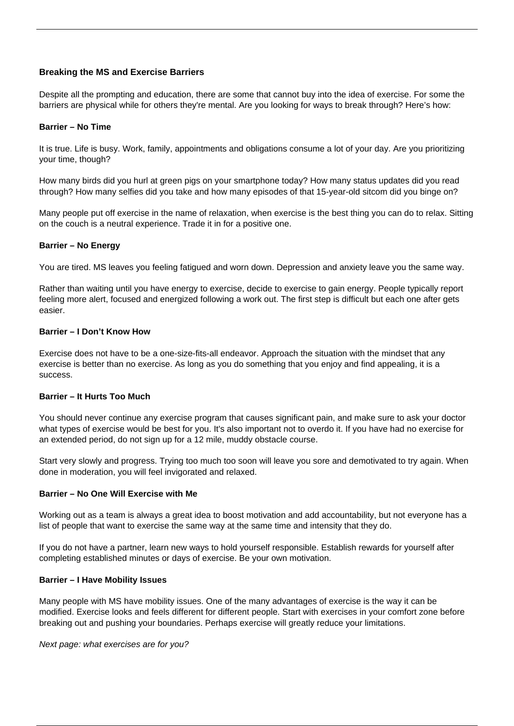## **Breaking the MS and Exercise Barriers**

Despite all the prompting and education, there are some that cannot buy into the idea of exercise. For some the barriers are physical while for others they're mental. Are you looking for ways to break through? Here's how:

#### **Barrier – No Time**

It is true. Life is busy. Work, family, appointments and obligations consume a lot of your day. Are you prioritizing your time, though?

How many birds did you hurl at green pigs on your smartphone today? How many status updates did you read through? How many selfies did you take and how many episodes of that 15-year-old sitcom did you binge on?

Many people put off exercise in the name of relaxation, when exercise is the best thing you can do to relax. Sitting on the couch is a neutral experience. Trade it in for a positive one.

#### **Barrier – No Energy**

You are tired. MS leaves you feeling fatigued and worn down. Depression and anxiety leave you the same way.

Rather than waiting until you have energy to exercise, decide to exercise to gain energy. People typically report feeling more alert, focused and energized following a work out. The first step is difficult but each one after gets easier.

#### **Barrier – I Don't Know How**

Exercise does not have to be a one-size-fits-all endeavor. Approach the situation with the mindset that any exercise is better than no exercise. As long as you do something that you enjoy and find appealing, it is a success.

## **Barrier – It Hurts Too Much**

You should never continue any exercise program that causes significant pain, and make sure to ask your doctor what types of exercise would be best for you. It's also important not to overdo it. If you have had no exercise for an extended period, do not sign up for a 12 mile, muddy obstacle course.

Start very slowly and progress. Trying too much too soon will leave you sore and demotivated to try again. When done in moderation, you will feel invigorated and relaxed.

#### **Barrier – No One Will Exercise with Me**

Working out as a team is always a great idea to boost motivation and add accountability, but not everyone has a list of people that want to exercise the same way at the same time and intensity that they do.

If you do not have a partner, learn new ways to hold yourself responsible. Establish rewards for yourself after completing established minutes or days of exercise. Be your own motivation.

#### **Barrier – I Have Mobility Issues**

Many people with MS have mobility issues. One of the many advantages of exercise is the way it can be modified. Exercise looks and feels different for different people. Start with exercises in your comfort zone before breaking out and pushing your boundaries. Perhaps exercise will greatly reduce your limitations.

#### Next page: what exercises are for you?